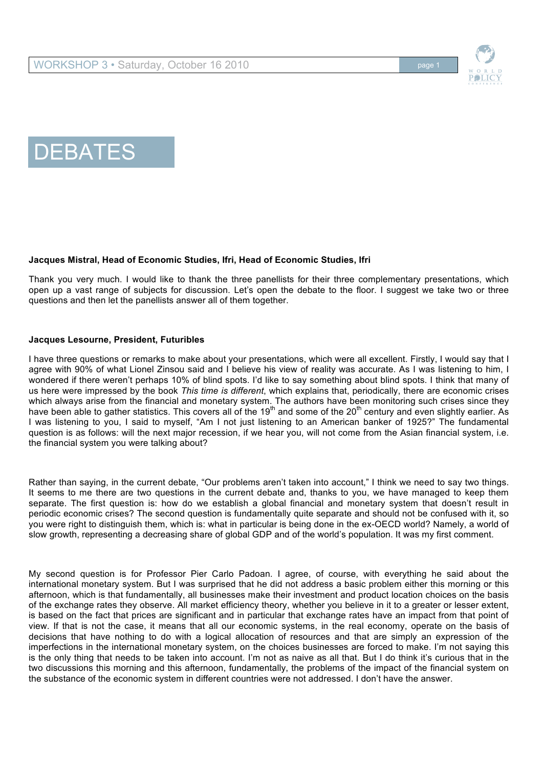



# DEBATES

## **Jacques Mistral, Head of Economic Studies, Ifri, Head of Economic Studies, Ifri**

Thank you very much. I would like to thank the three panellists for their three complementary presentations, which open up a vast range of subjects for discussion. Let's open the debate to the floor. I suggest we take two or three questions and then let the panellists answer all of them together.

## **Jacques Lesourne, President, Futuribles**

I have three questions or remarks to make about your presentations, which were all excellent. Firstly, I would say that I agree with 90% of what Lionel Zinsou said and I believe his view of reality was accurate. As I was listening to him, I wondered if there weren't perhaps 10% of blind spots. I'd like to say something about blind spots. I think that many of us here were impressed by the book *This time is different*, which explains that, periodically, there are economic crises which always arise from the financial and monetary system. The authors have been monitoring such crises since they have been able to gather statistics. This covers all of the 19<sup>th</sup> and some of the 20<sup>th</sup> century and even slightly earlier. As I was listening to you, I said to myself, "Am I not just listening to an American banker of 1925?" The fundamental question is as follows: will the next major recession, if we hear you, will not come from the Asian financial system, i.e. the financial system you were talking about?

Rather than saying, in the current debate, "Our problems aren't taken into account," I think we need to say two things. It seems to me there are two questions in the current debate and, thanks to you, we have managed to keep them separate. The first question is: how do we establish a global financial and monetary system that doesn't result in periodic economic crises? The second question is fundamentally quite separate and should not be confused with it, so you were right to distinguish them, which is: what in particular is being done in the ex-OECD world? Namely, a world of slow growth, representing a decreasing share of global GDP and of the world's population. It was my first comment.

My second question is for Professor Pier Carlo Padoan. I agree, of course, with everything he said about the international monetary system. But I was surprised that he did not address a basic problem either this morning or this afternoon, which is that fundamentally, all businesses make their investment and product location choices on the basis of the exchange rates they observe. All market efficiency theory, whether you believe in it to a greater or lesser extent, is based on the fact that prices are significant and in particular that exchange rates have an impact from that point of view. If that is not the case, it means that all our economic systems, in the real economy, operate on the basis of decisions that have nothing to do with a logical allocation of resources and that are simply an expression of the imperfections in the international monetary system, on the choices businesses are forced to make. I'm not saying this is the only thing that needs to be taken into account. I'm not as naive as all that. But I do think it's curious that in the two discussions this morning and this afternoon, fundamentally, the problems of the impact of the financial system on the substance of the economic system in different countries were not addressed. I don't have the answer.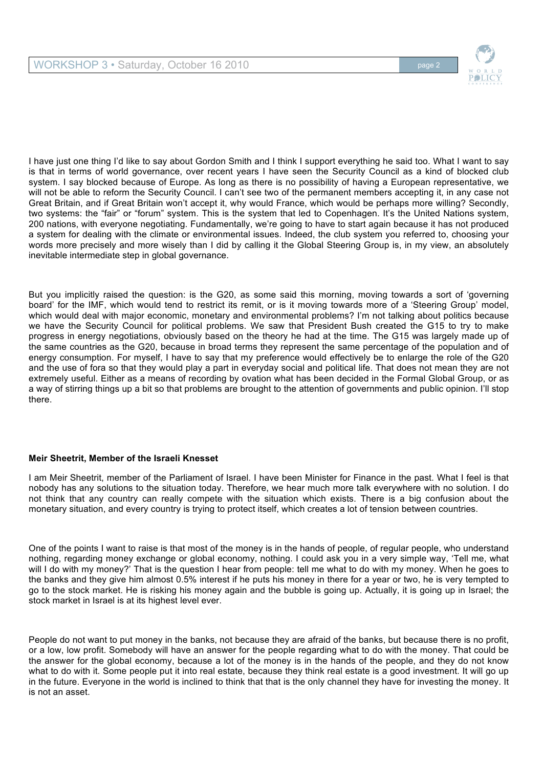

I have just one thing I'd like to say about Gordon Smith and I think I support everything he said too. What I want to say is that in terms of world governance, over recent years I have seen the Security Council as a kind of blocked club system. I say blocked because of Europe. As long as there is no possibility of having a European representative, we will not be able to reform the Security Council. I can't see two of the permanent members accepting it, in any case not Great Britain, and if Great Britain won't accept it, why would France, which would be perhaps more willing? Secondly, two systems: the "fair" or "forum" system. This is the system that led to Copenhagen. It's the United Nations system, 200 nations, with everyone negotiating. Fundamentally, we're going to have to start again because it has not produced a system for dealing with the climate or environmental issues. Indeed, the club system you referred to, choosing your words more precisely and more wisely than I did by calling it the Global Steering Group is, in my view, an absolutely inevitable intermediate step in global governance.

But you implicitly raised the question: is the G20, as some said this morning, moving towards a sort of 'governing board' for the IMF, which would tend to restrict its remit, or is it moving towards more of a 'Steering Group' model, which would deal with major economic, monetary and environmental problems? I'm not talking about politics because we have the Security Council for political problems. We saw that President Bush created the G15 to try to make progress in energy negotiations, obviously based on the theory he had at the time. The G15 was largely made up of the same countries as the G20, because in broad terms they represent the same percentage of the population and of energy consumption. For myself, I have to say that my preference would effectively be to enlarge the role of the G20 and the use of fora so that they would play a part in everyday social and political life. That does not mean they are not extremely useful. Either as a means of recording by ovation what has been decided in the Formal Global Group, or as a way of stirring things up a bit so that problems are brought to the attention of governments and public opinion. I'll stop there.

# **Meir Sheetrit, Member of the Israeli Knesset**

I am Meir Sheetrit, member of the Parliament of Israel. I have been Minister for Finance in the past. What I feel is that nobody has any solutions to the situation today. Therefore, we hear much more talk everywhere with no solution. I do not think that any country can really compete with the situation which exists. There is a big confusion about the monetary situation, and every country is trying to protect itself, which creates a lot of tension between countries.

One of the points I want to raise is that most of the money is in the hands of people, of regular people, who understand nothing, regarding money exchange or global economy, nothing. I could ask you in a very simple way, 'Tell me, what will I do with my money?' That is the question I hear from people: tell me what to do with my money. When he goes to the banks and they give him almost 0.5% interest if he puts his money in there for a year or two, he is very tempted to go to the stock market. He is risking his money again and the bubble is going up. Actually, it is going up in Israel; the stock market in Israel is at its highest level ever.

People do not want to put money in the banks, not because they are afraid of the banks, but because there is no profit, or a low, low profit. Somebody will have an answer for the people regarding what to do with the money. That could be the answer for the global economy, because a lot of the money is in the hands of the people, and they do not know what to do with it. Some people put it into real estate, because they think real estate is a good investment. It will go up in the future. Everyone in the world is inclined to think that that is the only channel they have for investing the money. It is not an asset.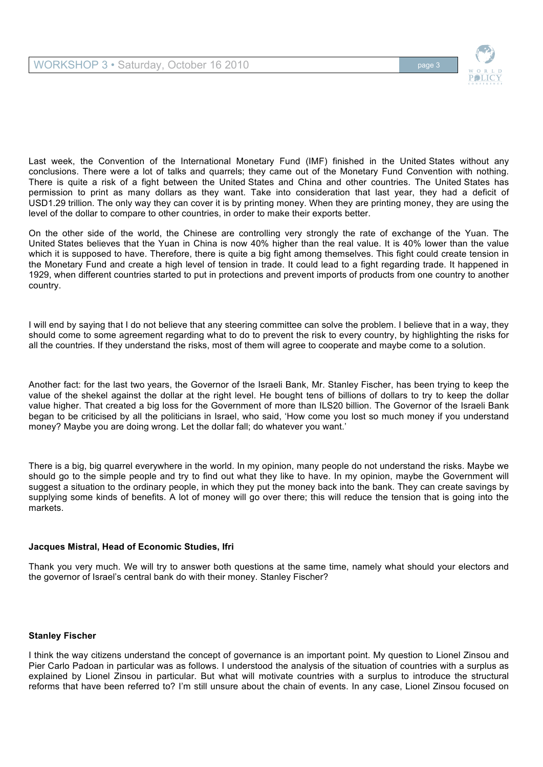

Last week, the Convention of the International Monetary Fund (IMF) finished in the United States without any conclusions. There were a lot of talks and quarrels; they came out of the Monetary Fund Convention with nothing. There is quite a risk of a fight between the United States and China and other countries. The United States has permission to print as many dollars as they want. Take into consideration that last year, they had a deficit of USD1.29 trillion. The only way they can cover it is by printing money. When they are printing money, they are using the level of the dollar to compare to other countries, in order to make their exports better.

On the other side of the world, the Chinese are controlling very strongly the rate of exchange of the Yuan. The United States believes that the Yuan in China is now 40% higher than the real value. It is 40% lower than the value which it is supposed to have. Therefore, there is quite a big fight among themselves. This fight could create tension in the Monetary Fund and create a high level of tension in trade. It could lead to a fight regarding trade. It happened in 1929, when different countries started to put in protections and prevent imports of products from one country to another country.

I will end by saying that I do not believe that any steering committee can solve the problem. I believe that in a way, they should come to some agreement regarding what to do to prevent the risk to every country, by highlighting the risks for all the countries. If they understand the risks, most of them will agree to cooperate and maybe come to a solution.

Another fact: for the last two years, the Governor of the Israeli Bank, Mr. Stanley Fischer, has been trying to keep the value of the shekel against the dollar at the right level. He bought tens of billions of dollars to try to keep the dollar value higher. That created a big loss for the Government of more than ILS20 billion. The Governor of the Israeli Bank began to be criticised by all the politicians in Israel, who said, 'How come you lost so much money if you understand money? Maybe you are doing wrong. Let the dollar fall; do whatever you want.'

There is a big, big quarrel everywhere in the world. In my opinion, many people do not understand the risks. Maybe we should go to the simple people and try to find out what they like to have. In my opinion, maybe the Government will suggest a situation to the ordinary people, in which they put the money back into the bank. They can create savings by supplying some kinds of benefits. A lot of money will go over there; this will reduce the tension that is going into the markets.

# **Jacques Mistral, Head of Economic Studies, Ifri**

Thank you very much. We will try to answer both questions at the same time, namely what should your electors and the governor of Israel's central bank do with their money. Stanley Fischer?

# **Stanley Fischer**

I think the way citizens understand the concept of governance is an important point. My question to Lionel Zinsou and Pier Carlo Padoan in particular was as follows. I understood the analysis of the situation of countries with a surplus as explained by Lionel Zinsou in particular. But what will motivate countries with a surplus to introduce the structural reforms that have been referred to? I'm still unsure about the chain of events. In any case, Lionel Zinsou focused on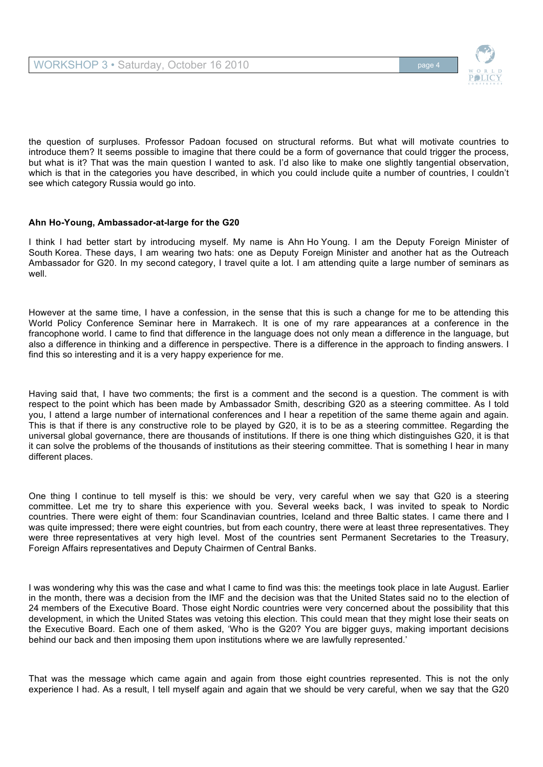

the question of surpluses. Professor Padoan focused on structural reforms. But what will motivate countries to introduce them? It seems possible to imagine that there could be a form of governance that could trigger the process, but what is it? That was the main question I wanted to ask. I'd also like to make one slightly tangential observation, which is that in the categories you have described, in which you could include quite a number of countries, I couldn't see which category Russia would go into.

# **Ahn Ho-Young, Ambassador-at-large for the G20**

I think I had better start by introducing myself. My name is Ahn Ho Young. I am the Deputy Foreign Minister of South Korea. These days, I am wearing two hats: one as Deputy Foreign Minister and another hat as the Outreach Ambassador for G20. In my second category, I travel quite a lot. I am attending quite a large number of seminars as well.

However at the same time, I have a confession, in the sense that this is such a change for me to be attending this World Policy Conference Seminar here in Marrakech. It is one of my rare appearances at a conference in the francophone world. I came to find that difference in the language does not only mean a difference in the language, but also a difference in thinking and a difference in perspective. There is a difference in the approach to finding answers. I find this so interesting and it is a very happy experience for me.

Having said that, I have two comments; the first is a comment and the second is a question. The comment is with respect to the point which has been made by Ambassador Smith, describing G20 as a steering committee. As I told you, I attend a large number of international conferences and I hear a repetition of the same theme again and again. This is that if there is any constructive role to be played by G20, it is to be as a steering committee. Regarding the universal global governance, there are thousands of institutions. If there is one thing which distinguishes G20, it is that it can solve the problems of the thousands of institutions as their steering committee. That is something I hear in many different places.

One thing I continue to tell myself is this: we should be very, very careful when we say that G20 is a steering committee. Let me try to share this experience with you. Several weeks back, I was invited to speak to Nordic countries. There were eight of them: four Scandinavian countries, Iceland and three Baltic states. I came there and I was quite impressed; there were eight countries, but from each country, there were at least three representatives. They were three representatives at very high level. Most of the countries sent Permanent Secretaries to the Treasury, Foreign Affairs representatives and Deputy Chairmen of Central Banks.

I was wondering why this was the case and what I came to find was this: the meetings took place in late August. Earlier in the month, there was a decision from the IMF and the decision was that the United States said no to the election of 24 members of the Executive Board. Those eight Nordic countries were very concerned about the possibility that this development, in which the United States was vetoing this election. This could mean that they might lose their seats on the Executive Board. Each one of them asked, 'Who is the G20? You are bigger guys, making important decisions behind our back and then imposing them upon institutions where we are lawfully represented.'

That was the message which came again and again from those eight countries represented. This is not the only experience I had. As a result, I tell myself again and again that we should be very careful, when we say that the G20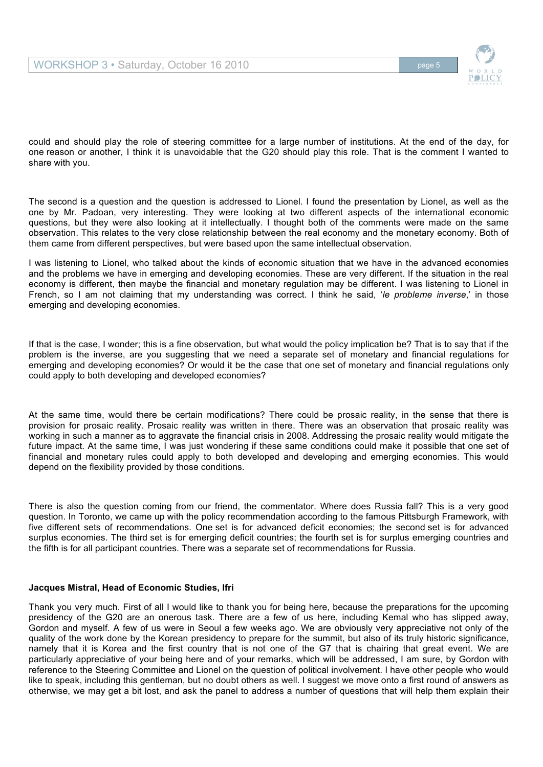

could and should play the role of steering committee for a large number of institutions. At the end of the day, for one reason or another, I think it is unavoidable that the G20 should play this role. That is the comment I wanted to share with you.

The second is a question and the question is addressed to Lionel. I found the presentation by Lionel, as well as the one by Mr. Padoan, very interesting. They were looking at two different aspects of the international economic questions, but they were also looking at it intellectually. I thought both of the comments were made on the same observation. This relates to the very close relationship between the real economy and the monetary economy. Both of them came from different perspectives, but were based upon the same intellectual observation.

I was listening to Lionel, who talked about the kinds of economic situation that we have in the advanced economies and the problems we have in emerging and developing economies. These are very different. If the situation in the real economy is different, then maybe the financial and monetary regulation may be different. I was listening to Lionel in French, so I am not claiming that my understanding was correct. I think he said, '*le probleme inverse*,' in those emerging and developing economies.

If that is the case, I wonder; this is a fine observation, but what would the policy implication be? That is to say that if the problem is the inverse, are you suggesting that we need a separate set of monetary and financial regulations for emerging and developing economies? Or would it be the case that one set of monetary and financial regulations only could apply to both developing and developed economies?

At the same time, would there be certain modifications? There could be prosaic reality, in the sense that there is provision for prosaic reality. Prosaic reality was written in there. There was an observation that prosaic reality was working in such a manner as to aggravate the financial crisis in 2008. Addressing the prosaic reality would mitigate the future impact. At the same time, I was just wondering if these same conditions could make it possible that one set of financial and monetary rules could apply to both developed and developing and emerging economies. This would depend on the flexibility provided by those conditions.

There is also the question coming from our friend, the commentator. Where does Russia fall? This is a very good question. In Toronto, we came up with the policy recommendation according to the famous Pittsburgh Framework, with five different sets of recommendations. One set is for advanced deficit economies; the second set is for advanced surplus economies. The third set is for emerging deficit countries; the fourth set is for surplus emerging countries and the fifth is for all participant countries. There was a separate set of recommendations for Russia.

#### **Jacques Mistral, Head of Economic Studies, Ifri**

Thank you very much. First of all I would like to thank you for being here, because the preparations for the upcoming presidency of the G20 are an onerous task. There are a few of us here, including Kemal who has slipped away, Gordon and myself. A few of us were in Seoul a few weeks ago. We are obviously very appreciative not only of the quality of the work done by the Korean presidency to prepare for the summit, but also of its truly historic significance, namely that it is Korea and the first country that is not one of the G7 that is chairing that great event. We are particularly appreciative of your being here and of your remarks, which will be addressed, I am sure, by Gordon with reference to the Steering Committee and Lionel on the question of political involvement. I have other people who would like to speak, including this gentleman, but no doubt others as well. I suggest we move onto a first round of answers as otherwise, we may get a bit lost, and ask the panel to address a number of questions that will help them explain their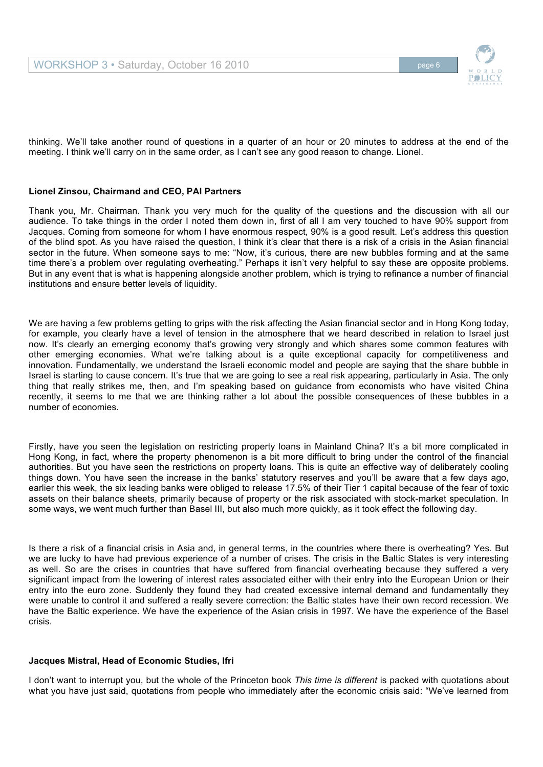thinking. We'll take another round of questions in a quarter of an hour or 20 minutes to address at the end of the meeting. I think we'll carry on in the same order, as I can't see any good reason to change. Lionel.

# **Lionel Zinsou, Chairmand and CEO, PAI Partners**

Thank you, Mr. Chairman. Thank you very much for the quality of the questions and the discussion with all our audience. To take things in the order I noted them down in, first of all I am very touched to have 90% support from Jacques. Coming from someone for whom I have enormous respect, 90% is a good result. Let's address this question of the blind spot. As you have raised the question, I think it's clear that there is a risk of a crisis in the Asian financial sector in the future. When someone says to me: "Now, it's curious, there are new bubbles forming and at the same time there's a problem over regulating overheating." Perhaps it isn't very helpful to say these are opposite problems. But in any event that is what is happening alongside another problem, which is trying to refinance a number of financial institutions and ensure better levels of liquidity.

We are having a few problems getting to grips with the risk affecting the Asian financial sector and in Hong Kong today, for example, you clearly have a level of tension in the atmosphere that we heard described in relation to Israel just now. It's clearly an emerging economy that's growing very strongly and which shares some common features with other emerging economies. What we're talking about is a quite exceptional capacity for competitiveness and innovation. Fundamentally, we understand the Israeli economic model and people are saying that the share bubble in Israel is starting to cause concern. It's true that we are going to see a real risk appearing, particularly in Asia. The only thing that really strikes me, then, and I'm speaking based on guidance from economists who have visited China recently, it seems to me that we are thinking rather a lot about the possible consequences of these bubbles in a number of economies.

Firstly, have you seen the legislation on restricting property loans in Mainland China? It's a bit more complicated in Hong Kong, in fact, where the property phenomenon is a bit more difficult to bring under the control of the financial authorities. But you have seen the restrictions on property loans. This is quite an effective way of deliberately cooling things down. You have seen the increase in the banks' statutory reserves and you'll be aware that a few days ago, earlier this week, the six leading banks were obliged to release 17.5% of their Tier 1 capital because of the fear of toxic assets on their balance sheets, primarily because of property or the risk associated with stock-market speculation. In some ways, we went much further than Basel III, but also much more quickly, as it took effect the following day.

Is there a risk of a financial crisis in Asia and, in general terms, in the countries where there is overheating? Yes. But we are lucky to have had previous experience of a number of crises. The crisis in the Baltic States is very interesting as well. So are the crises in countries that have suffered from financial overheating because they suffered a very significant impact from the lowering of interest rates associated either with their entry into the European Union or their entry into the euro zone. Suddenly they found they had created excessive internal demand and fundamentally they were unable to control it and suffered a really severe correction: the Baltic states have their own record recession. We have the Baltic experience. We have the experience of the Asian crisis in 1997. We have the experience of the Basel crisis.

# **Jacques Mistral, Head of Economic Studies, Ifri**

I don't want to interrupt you, but the whole of the Princeton book *This time is different* is packed with quotations about what you have just said, quotations from people who immediately after the economic crisis said: "We've learned from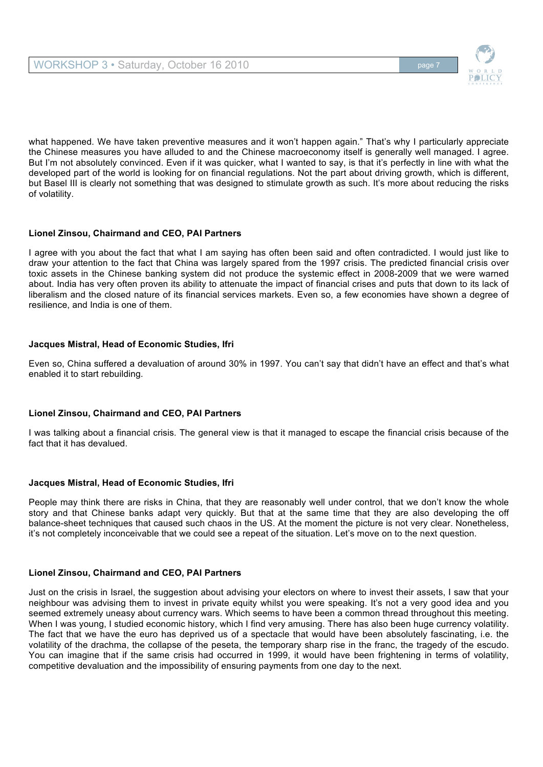

what happened. We have taken preventive measures and it won't happen again." That's why I particularly appreciate the Chinese measures you have alluded to and the Chinese macroeconomy itself is generally well managed. I agree. But I'm not absolutely convinced. Even if it was quicker, what I wanted to say, is that it's perfectly in line with what the developed part of the world is looking for on financial regulations. Not the part about driving growth, which is different, but Basel III is clearly not something that was designed to stimulate growth as such. It's more about reducing the risks of volatility.

# **Lionel Zinsou, Chairmand and CEO, PAI Partners**

I agree with you about the fact that what I am saying has often been said and often contradicted. I would just like to draw your attention to the fact that China was largely spared from the 1997 crisis. The predicted financial crisis over toxic assets in the Chinese banking system did not produce the systemic effect in 2008-2009 that we were warned about. India has very often proven its ability to attenuate the impact of financial crises and puts that down to its lack of liberalism and the closed nature of its financial services markets. Even so, a few economies have shown a degree of resilience, and India is one of them.

# **Jacques Mistral, Head of Economic Studies, Ifri**

Even so, China suffered a devaluation of around 30% in 1997. You can't say that didn't have an effect and that's what enabled it to start rebuilding.

# **Lionel Zinsou, Chairmand and CEO, PAI Partners**

I was talking about a financial crisis. The general view is that it managed to escape the financial crisis because of the fact that it has devalued.

# **Jacques Mistral, Head of Economic Studies, Ifri**

People may think there are risks in China, that they are reasonably well under control, that we don't know the whole story and that Chinese banks adapt very quickly. But that at the same time that they are also developing the off balance-sheet techniques that caused such chaos in the US. At the moment the picture is not very clear. Nonetheless, it's not completely inconceivable that we could see a repeat of the situation. Let's move on to the next question.

# **Lionel Zinsou, Chairmand and CEO, PAI Partners**

Just on the crisis in Israel, the suggestion about advising your electors on where to invest their assets, I saw that your neighbour was advising them to invest in private equity whilst you were speaking. It's not a very good idea and you seemed extremely uneasy about currency wars. Which seems to have been a common thread throughout this meeting. When I was young, I studied economic history, which I find very amusing. There has also been huge currency volatility. The fact that we have the euro has deprived us of a spectacle that would have been absolutely fascinating, i.e. the volatility of the drachma, the collapse of the peseta, the temporary sharp rise in the franc, the tragedy of the escudo. You can imagine that if the same crisis had occurred in 1999, it would have been frightening in terms of volatility, competitive devaluation and the impossibility of ensuring payments from one day to the next.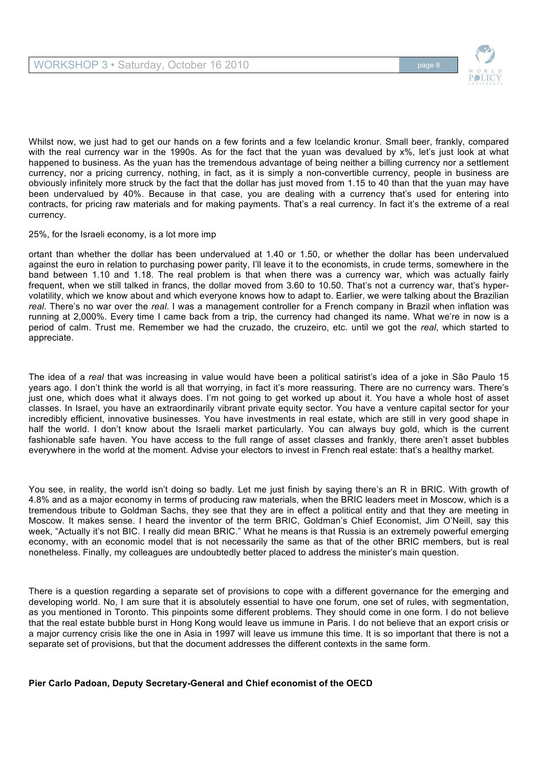

Whilst now, we just had to get our hands on a few forints and a few Icelandic kronur. Small beer, frankly, compared with the real currency war in the 1990s. As for the fact that the yuan was devalued by x%, let's just look at what happened to business. As the yuan has the tremendous advantage of being neither a billing currency nor a settlement currency, nor a pricing currency, nothing, in fact, as it is simply a non-convertible currency, people in business are obviously infinitely more struck by the fact that the dollar has just moved from 1.15 to 40 than that the yuan may have been undervalued by 40%. Because in that case, you are dealing with a currency that's used for entering into contracts, for pricing raw materials and for making payments. That's a real currency. In fact it's the extreme of a real currency.

#### 25%, for the Israeli economy, is a lot more imp

ortant than whether the dollar has been undervalued at 1.40 or 1.50, or whether the dollar has been undervalued against the euro in relation to purchasing power parity, I'll leave it to the economists, in crude terms, somewhere in the band between 1.10 and 1.18. The real problem is that when there was a currency war, which was actually fairly frequent, when we still talked in francs, the dollar moved from 3.60 to 10.50. That's not a currency war, that's hypervolatility, which we know about and which everyone knows how to adapt to. Earlier, we were talking about the Brazilian *real*. There's no war over the *real*. I was a management controller for a French company in Brazil when inflation was running at 2,000%. Every time I came back from a trip, the currency had changed its name. What we're in now is a period of calm. Trust me. Remember we had the cruzado, the cruzeiro, etc. until we got the *real*, which started to appreciate.

The idea of a *real* that was increasing in value would have been a political satirist's idea of a joke in São Paulo 15 years ago. I don't think the world is all that worrying, in fact it's more reassuring. There are no currency wars. There's just one, which does what it always does. I'm not going to get worked up about it. You have a whole host of asset classes. In Israel, you have an extraordinarily vibrant private equity sector. You have a venture capital sector for your incredibly efficient, innovative businesses. You have investments in real estate, which are still in very good shape in half the world. I don't know about the Israeli market particularly. You can always buy gold, which is the current fashionable safe haven. You have access to the full range of asset classes and frankly, there aren't asset bubbles everywhere in the world at the moment. Advise your electors to invest in French real estate: that's a healthy market.

You see, in reality, the world isn't doing so badly. Let me just finish by saying there's an R in BRIC. With growth of 4.8% and as a major economy in terms of producing raw materials, when the BRIC leaders meet in Moscow, which is a tremendous tribute to Goldman Sachs, they see that they are in effect a political entity and that they are meeting in Moscow. It makes sense. I heard the inventor of the term BRIC, Goldman's Chief Economist, Jim O'Neill, say this week, "Actually it's not BIC. I really did mean BRIC." What he means is that Russia is an extremely powerful emerging economy, with an economic model that is not necessarily the same as that of the other BRIC members, but is real nonetheless. Finally, my colleagues are undoubtedly better placed to address the minister's main question.

There is a question regarding a separate set of provisions to cope with a different governance for the emerging and developing world. No, I am sure that it is absolutely essential to have one forum, one set of rules, with segmentation, as you mentioned in Toronto. This pinpoints some different problems. They should come in one form. I do not believe that the real estate bubble burst in Hong Kong would leave us immune in Paris. I do not believe that an export crisis or a major currency crisis like the one in Asia in 1997 will leave us immune this time. It is so important that there is not a separate set of provisions, but that the document addresses the different contexts in the same form.

# **Pier Carlo Padoan, Deputy Secretary-General and Chief economist of the OECD**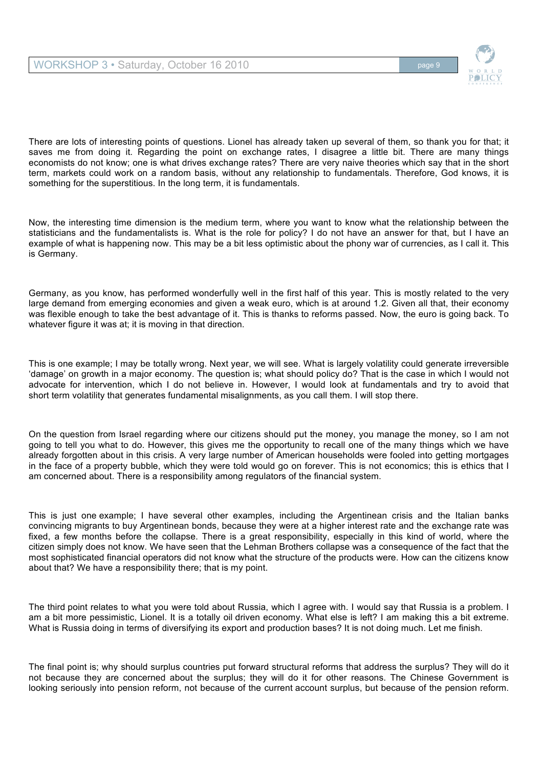

There are lots of interesting points of questions. Lionel has already taken up several of them, so thank you for that; it saves me from doing it. Regarding the point on exchange rates, I disagree a little bit. There are many things economists do not know; one is what drives exchange rates? There are very naive theories which say that in the short term, markets could work on a random basis, without any relationship to fundamentals. Therefore, God knows, it is something for the superstitious. In the long term, it is fundamentals.

Now, the interesting time dimension is the medium term, where you want to know what the relationship between the statisticians and the fundamentalists is. What is the role for policy? I do not have an answer for that, but I have an example of what is happening now. This may be a bit less optimistic about the phony war of currencies, as I call it. This is Germany.

Germany, as you know, has performed wonderfully well in the first half of this year. This is mostly related to the very large demand from emerging economies and given a weak euro, which is at around 1.2. Given all that, their economy was flexible enough to take the best advantage of it. This is thanks to reforms passed. Now, the euro is going back. To whatever figure it was at; it is moving in that direction.

This is one example; I may be totally wrong. Next year, we will see. What is largely volatility could generate irreversible 'damage' on growth in a major economy. The question is; what should policy do? That is the case in which I would not advocate for intervention, which I do not believe in. However, I would look at fundamentals and try to avoid that short term volatility that generates fundamental misalignments, as you call them. I will stop there.

On the question from Israel regarding where our citizens should put the money, you manage the money, so I am not going to tell you what to do. However, this gives me the opportunity to recall one of the many things which we have already forgotten about in this crisis. A very large number of American households were fooled into getting mortgages in the face of a property bubble, which they were told would go on forever. This is not economics; this is ethics that I am concerned about. There is a responsibility among regulators of the financial system.

This is just one example; I have several other examples, including the Argentinean crisis and the Italian banks convincing migrants to buy Argentinean bonds, because they were at a higher interest rate and the exchange rate was fixed, a few months before the collapse. There is a great responsibility, especially in this kind of world, where the citizen simply does not know. We have seen that the Lehman Brothers collapse was a consequence of the fact that the most sophisticated financial operators did not know what the structure of the products were. How can the citizens know about that? We have a responsibility there; that is my point.

The third point relates to what you were told about Russia, which I agree with. I would say that Russia is a problem. I am a bit more pessimistic, Lionel. It is a totally oil driven economy. What else is left? I am making this a bit extreme. What is Russia doing in terms of diversifying its export and production bases? It is not doing much. Let me finish.

The final point is; why should surplus countries put forward structural reforms that address the surplus? They will do it not because they are concerned about the surplus; they will do it for other reasons. The Chinese Government is looking seriously into pension reform, not because of the current account surplus, but because of the pension reform.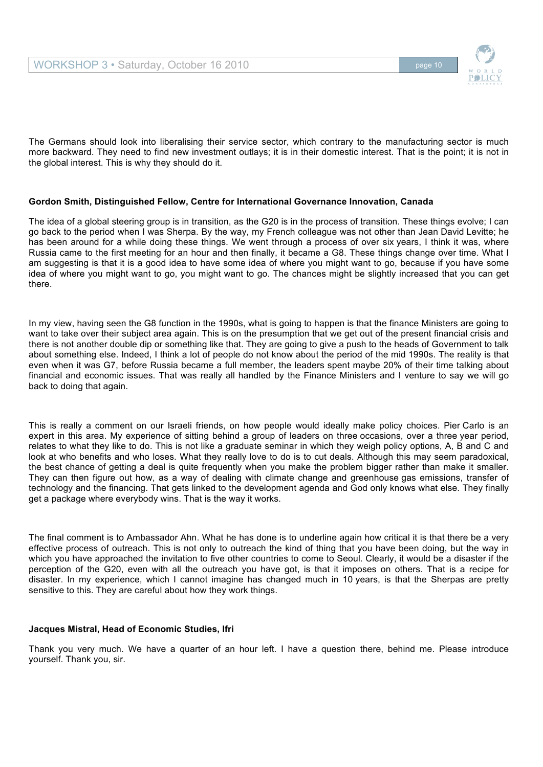

The Germans should look into liberalising their service sector, which contrary to the manufacturing sector is much more backward. They need to find new investment outlays; it is in their domestic interest. That is the point; it is not in the global interest. This is why they should do it.

## **Gordon Smith, Distinguished Fellow, Centre for International Governance Innovation, Canada**

The idea of a global steering group is in transition, as the G20 is in the process of transition. These things evolve; I can go back to the period when I was Sherpa. By the way, my French colleague was not other than Jean David Levitte; he has been around for a while doing these things. We went through a process of over six years, I think it was, where Russia came to the first meeting for an hour and then finally, it became a G8. These things change over time. What I am suggesting is that it is a good idea to have some idea of where you might want to go, because if you have some idea of where you might want to go, you might want to go. The chances might be slightly increased that you can get there.

In my view, having seen the G8 function in the 1990s, what is going to happen is that the finance Ministers are going to want to take over their subject area again. This is on the presumption that we get out of the present financial crisis and there is not another double dip or something like that. They are going to give a push to the heads of Government to talk about something else. Indeed, I think a lot of people do not know about the period of the mid 1990s. The reality is that even when it was G7, before Russia became a full member, the leaders spent maybe 20% of their time talking about financial and economic issues. That was really all handled by the Finance Ministers and I venture to say we will go back to doing that again.

This is really a comment on our Israeli friends, on how people would ideally make policy choices. Pier Carlo is an expert in this area. My experience of sitting behind a group of leaders on three occasions, over a three year period, relates to what they like to do. This is not like a graduate seminar in which they weigh policy options, A, B and C and look at who benefits and who loses. What they really love to do is to cut deals. Although this may seem paradoxical, the best chance of getting a deal is quite frequently when you make the problem bigger rather than make it smaller. They can then figure out how, as a way of dealing with climate change and greenhouse gas emissions, transfer of technology and the financing. That gets linked to the development agenda and God only knows what else. They finally get a package where everybody wins. That is the way it works.

The final comment is to Ambassador Ahn. What he has done is to underline again how critical it is that there be a very effective process of outreach. This is not only to outreach the kind of thing that you have been doing, but the way in which you have approached the invitation to five other countries to come to Seoul. Clearly, it would be a disaster if the perception of the G20, even with all the outreach you have got, is that it imposes on others. That is a recipe for disaster. In my experience, which I cannot imagine has changed much in 10 years, is that the Sherpas are pretty sensitive to this. They are careful about how they work things.

#### **Jacques Mistral, Head of Economic Studies, Ifri**

Thank you very much. We have a quarter of an hour left. I have a question there, behind me. Please introduce yourself. Thank you, sir.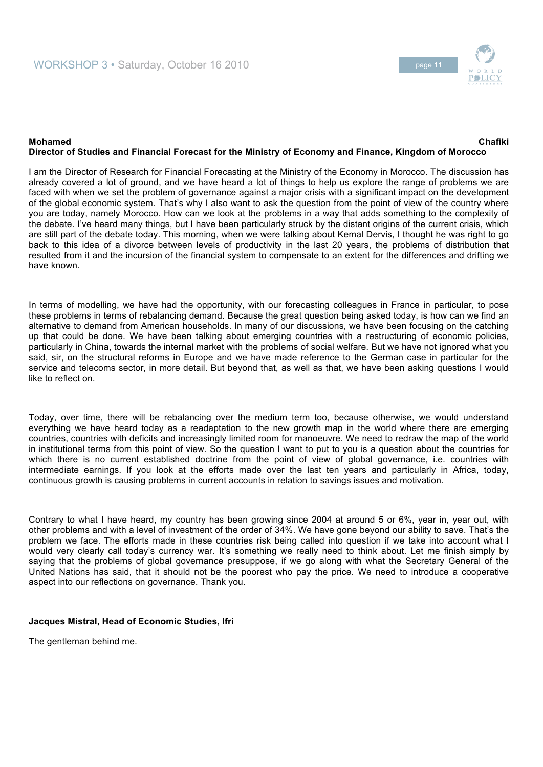

### **Mohamed Chafiki Director of Studies and Financial Forecast for the Ministry of Economy and Finance, Kingdom of Morocco**

I am the Director of Research for Financial Forecasting at the Ministry of the Economy in Morocco. The discussion has already covered a lot of ground, and we have heard a lot of things to help us explore the range of problems we are faced with when we set the problem of governance against a major crisis with a significant impact on the development of the global economic system. That's why I also want to ask the question from the point of view of the country where you are today, namely Morocco. How can we look at the problems in a way that adds something to the complexity of the debate. I've heard many things, but I have been particularly struck by the distant origins of the current crisis, which are still part of the debate today. This morning, when we were talking about Kemal Dervis, I thought he was right to go back to this idea of a divorce between levels of productivity in the last 20 years, the problems of distribution that resulted from it and the incursion of the financial system to compensate to an extent for the differences and drifting we have known.

In terms of modelling, we have had the opportunity, with our forecasting colleagues in France in particular, to pose these problems in terms of rebalancing demand. Because the great question being asked today, is how can we find an alternative to demand from American households. In many of our discussions, we have been focusing on the catching up that could be done. We have been talking about emerging countries with a restructuring of economic policies, particularly in China, towards the internal market with the problems of social welfare. But we have not ignored what you said, sir, on the structural reforms in Europe and we have made reference to the German case in particular for the service and telecoms sector, in more detail. But beyond that, as well as that, we have been asking questions I would like to reflect on.

Today, over time, there will be rebalancing over the medium term too, because otherwise, we would understand everything we have heard today as a readaptation to the new growth map in the world where there are emerging countries, countries with deficits and increasingly limited room for manoeuvre. We need to redraw the map of the world in institutional terms from this point of view. So the question I want to put to you is a question about the countries for which there is no current established doctrine from the point of view of global governance, i.e. countries with intermediate earnings. If you look at the efforts made over the last ten years and particularly in Africa, today, continuous growth is causing problems in current accounts in relation to savings issues and motivation.

Contrary to what I have heard, my country has been growing since 2004 at around 5 or 6%, year in, year out, with other problems and with a level of investment of the order of 34%. We have gone beyond our ability to save. That's the problem we face. The efforts made in these countries risk being called into question if we take into account what I would very clearly call today's currency war. It's something we really need to think about. Let me finish simply by saying that the problems of global governance presuppose, if we go along with what the Secretary General of the United Nations has said, that it should not be the poorest who pay the price. We need to introduce a cooperative aspect into our reflections on governance. Thank you.

#### **Jacques Mistral, Head of Economic Studies, Ifri**

The gentleman behind me.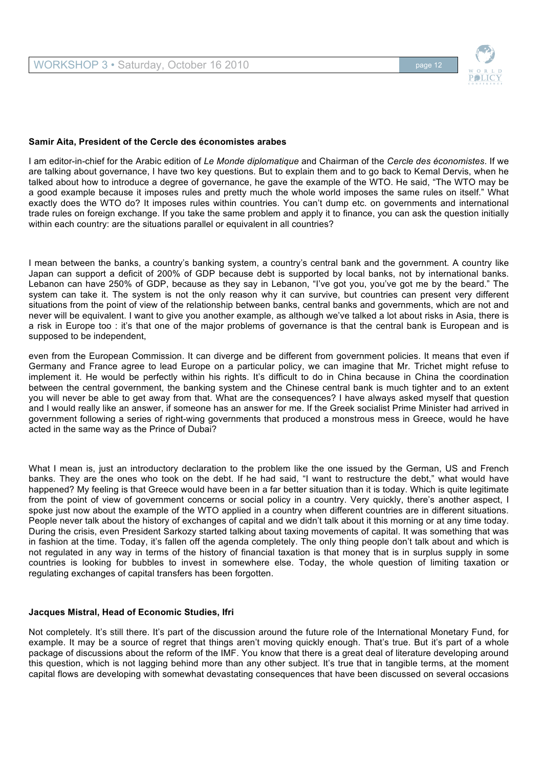

#### **Samir Aita, President of the Cercle des économistes arabes**

I am editor-in-chief for the Arabic edition of *Le Monde diplomatique* and Chairman of the *Cercle des économistes*. If we are talking about governance, I have two key questions. But to explain them and to go back to Kemal Dervis, when he talked about how to introduce a degree of governance, he gave the example of the WTO. He said, "The WTO may be a good example because it imposes rules and pretty much the whole world imposes the same rules on itself." What exactly does the WTO do? It imposes rules within countries. You can't dump etc. on governments and international trade rules on foreign exchange. If you take the same problem and apply it to finance, you can ask the question initially within each country: are the situations parallel or equivalent in all countries?

I mean between the banks, a country's banking system, a country's central bank and the government. A country like Japan can support a deficit of 200% of GDP because debt is supported by local banks, not by international banks. Lebanon can have 250% of GDP, because as they say in Lebanon, "I've got you, you've got me by the beard." The system can take it. The system is not the only reason why it can survive, but countries can present very different situations from the point of view of the relationship between banks, central banks and governments, which are not and never will be equivalent. I want to give you another example, as although we've talked a lot about risks in Asia, there is a risk in Europe too : it's that one of the major problems of governance is that the central bank is European and is supposed to be independent,

even from the European Commission. It can diverge and be different from government policies. It means that even if Germany and France agree to lead Europe on a particular policy, we can imagine that Mr. Trichet might refuse to implement it. He would be perfectly within his rights. It's difficult to do in China because in China the coordination between the central government, the banking system and the Chinese central bank is much tighter and to an extent you will never be able to get away from that. What are the consequences? I have always asked myself that question and I would really like an answer, if someone has an answer for me. If the Greek socialist Prime Minister had arrived in government following a series of right-wing governments that produced a monstrous mess in Greece, would he have acted in the same way as the Prince of Dubai?

What I mean is, just an introductory declaration to the problem like the one issued by the German, US and French banks. They are the ones who took on the debt. If he had said, "I want to restructure the debt," what would have happened? My feeling is that Greece would have been in a far better situation than it is today. Which is quite legitimate from the point of view of government concerns or social policy in a country. Very quickly, there's another aspect, I spoke just now about the example of the WTO applied in a country when different countries are in different situations. People never talk about the history of exchanges of capital and we didn't talk about it this morning or at any time today. During the crisis, even President Sarkozy started talking about taxing movements of capital. It was something that was in fashion at the time. Today, it's fallen off the agenda completely. The only thing people don't talk about and which is not regulated in any way in terms of the history of financial taxation is that money that is in surplus supply in some countries is looking for bubbles to invest in somewhere else. Today, the whole question of limiting taxation or regulating exchanges of capital transfers has been forgotten.

#### **Jacques Mistral, Head of Economic Studies, Ifri**

Not completely. It's still there. It's part of the discussion around the future role of the International Monetary Fund, for example. It may be a source of regret that things aren't moving quickly enough. That's true. But it's part of a whole package of discussions about the reform of the IMF. You know that there is a great deal of literature developing around this question, which is not lagging behind more than any other subject. It's true that in tangible terms, at the moment capital flows are developing with somewhat devastating consequences that have been discussed on several occasions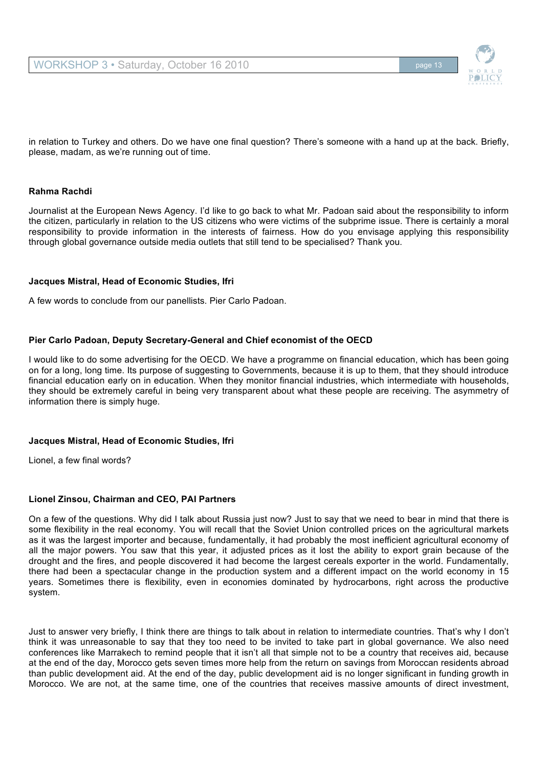

in relation to Turkey and others. Do we have one final question? There's someone with a hand up at the back. Briefly, please, madam, as we're running out of time.

## **Rahma Rachdi**

Journalist at the European News Agency. I'd like to go back to what Mr. Padoan said about the responsibility to inform the citizen, particularly in relation to the US citizens who were victims of the subprime issue. There is certainly a moral responsibility to provide information in the interests of fairness. How do you envisage applying this responsibility through global governance outside media outlets that still tend to be specialised? Thank you.

#### **Jacques Mistral, Head of Economic Studies, Ifri**

A few words to conclude from our panellists. Pier Carlo Padoan.

# **Pier Carlo Padoan, Deputy Secretary-General and Chief economist of the OECD**

I would like to do some advertising for the OECD. We have a programme on financial education, which has been going on for a long, long time. Its purpose of suggesting to Governments, because it is up to them, that they should introduce financial education early on in education. When they monitor financial industries, which intermediate with households, they should be extremely careful in being very transparent about what these people are receiving. The asymmetry of information there is simply huge.

# **Jacques Mistral, Head of Economic Studies, Ifri**

Lionel, a few final words?

# **Lionel Zinsou, Chairman and CEO, PAI Partners**

On a few of the questions. Why did I talk about Russia just now? Just to say that we need to bear in mind that there is some flexibility in the real economy. You will recall that the Soviet Union controlled prices on the agricultural markets as it was the largest importer and because, fundamentally, it had probably the most inefficient agricultural economy of all the major powers. You saw that this year, it adjusted prices as it lost the ability to export grain because of the drought and the fires, and people discovered it had become the largest cereals exporter in the world. Fundamentally, there had been a spectacular change in the production system and a different impact on the world economy in 15 years. Sometimes there is flexibility, even in economies dominated by hydrocarbons, right across the productive system.

Just to answer very briefly, I think there are things to talk about in relation to intermediate countries. That's why I don't think it was unreasonable to say that they too need to be invited to take part in global governance. We also need conferences like Marrakech to remind people that it isn't all that simple not to be a country that receives aid, because at the end of the day, Morocco gets seven times more help from the return on savings from Moroccan residents abroad than public development aid. At the end of the day, public development aid is no longer significant in funding growth in Morocco. We are not, at the same time, one of the countries that receives massive amounts of direct investment,